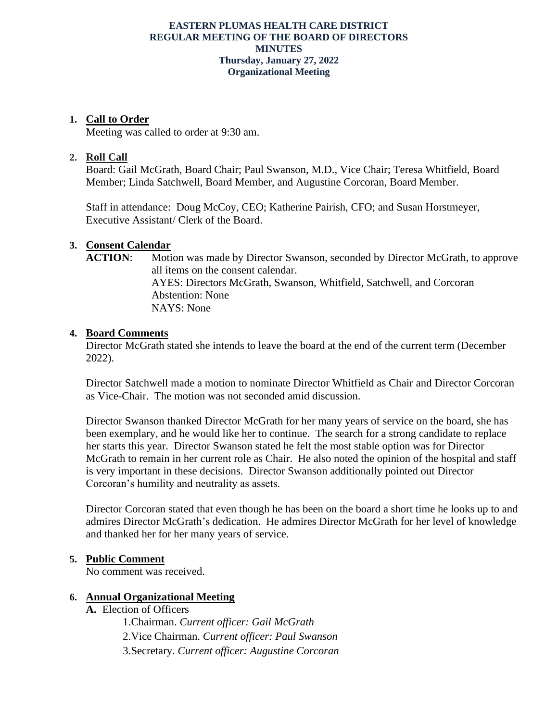#### **EASTERN PLUMAS HEALTH CARE DISTRICT REGULAR MEETING OF THE BOARD OF DIRECTORS MINUTES Thursday, January 27, 2022 Organizational Meeting**

### **1. Call to Order**

Meeting was called to order at 9:30 am.

## **2. Roll Call**

Board: Gail McGrath, Board Chair; Paul Swanson, M.D., Vice Chair; Teresa Whitfield, Board Member; Linda Satchwell, Board Member, and Augustine Corcoran, Board Member.

Staff in attendance: Doug McCoy, CEO; Katherine Pairish, CFO; and Susan Horstmeyer, Executive Assistant/ Clerk of the Board.

# **3. Consent Calendar**

ACTION: Motion was made by Director Swanson, seconded by Director McGrath, to approve all items on the consent calendar. AYES: Directors McGrath, Swanson, Whitfield, Satchwell, and Corcoran Abstention: None NAYS: None

### **4. Board Comments**

Director McGrath stated she intends to leave the board at the end of the current term (December 2022).

Director Satchwell made a motion to nominate Director Whitfield as Chair and Director Corcoran as Vice-Chair. The motion was not seconded amid discussion.

Director Swanson thanked Director McGrath for her many years of service on the board, she has been exemplary, and he would like her to continue. The search for a strong candidate to replace her starts this year. Director Swanson stated he felt the most stable option was for Director McGrath to remain in her current role as Chair. He also noted the opinion of the hospital and staff is very important in these decisions. Director Swanson additionally pointed out Director Corcoran's humility and neutrality as assets.

Director Corcoran stated that even though he has been on the board a short time he looks up to and admires Director McGrath's dedication. He admires Director McGrath for her level of knowledge and thanked her for her many years of service.

### **5. Public Comment**

No comment was received.

### **6. Annual Organizational Meeting**

**A.** Election of Officers

1.Chairman. *Current officer: Gail McGrath* 2.Vice Chairman. *Current officer: Paul Swanson* 3.Secretary. *Current officer: Augustine Corcoran*